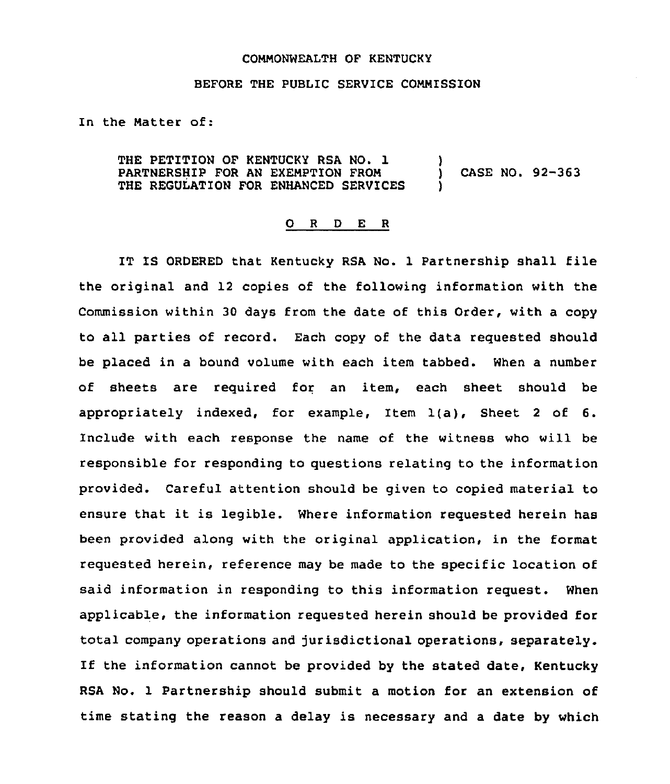## COMMONWEALTH OF KENTUCKY

## BEFORE THE PUBLIC SERVICE CONHISSION

In the Natter of:

THE PETITION OF KENTUCKY RSA NO. 1 PARTNERSHIP FOR AN EXENPTION PRON THE REGULATION FOR ENHANCED SERVICES ) ) CASE NO. 92-363 )

## 0 <sup>R</sup> <sup>D</sup> E <sup>R</sup>

IT IS ORDERED that Kentucky RSA No. <sup>1</sup> Partnership shall file the original and 12 copies of the following information with the Commission within 30 days from the date of this Order, with a copy to all parties of record. Each copy of the data requested should be placed in a bound volume with each item tabbed. When a number of sheets are required for an item, each sheet should be appropriately indexed, for example, Item 1(a), Sheet <sup>2</sup> of 6. Include with each response the name of the witness who will be responsible for responding to questions relating to the information provided. Careful attention should be given to copied material to ensure that it is legible. Where information requested herein has been provided along with the original application, in the format requested herein, reference may be made to the specific location of said information in responding to this information request. When applicable, the information requested herein should be provided for total company operations and jurisdictional operations, separately. If the information cannot be provided by the stated date, Kentucky RSA No. 1 Partnership should submit a motion for an extension of time stating the reason a delay is necessary and a date by which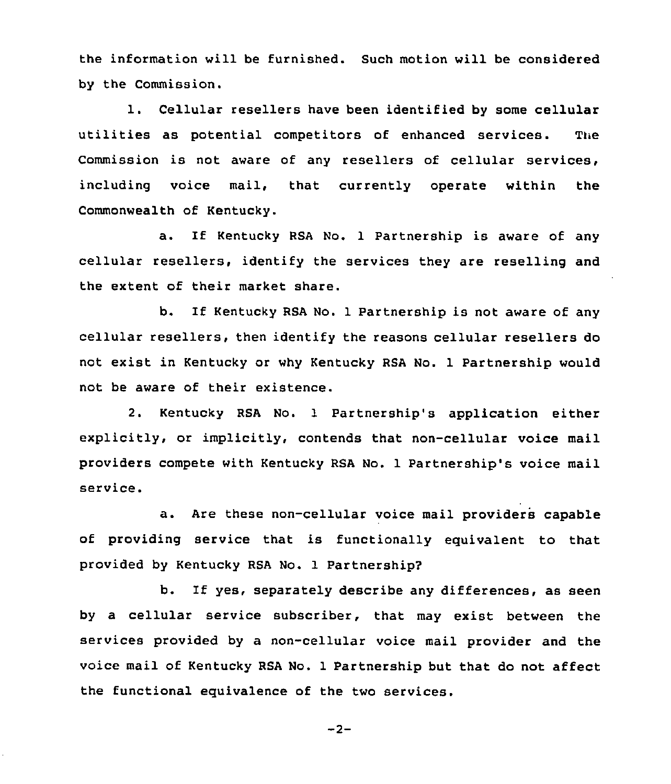the information will be furnished. Such motion will be considered by the Commission.

1. Cellular resellers have been identified by some cellular utilities as potential competitors of enhanced services. The Commission is not aware of any resellers of cellular services, including voice mail, that currently operate within the Commonwealth of Kentucky.

a. If Kentucky RSA No. 1 Partnership is aware of any cellular resellers, identify the services they are reselling and the extent of their market share.

b. If Kentucky RSA No. <sup>1</sup> Partnership is not aware of any cellular resellers, then identify the reasons cellular resellers do not exist in Kentucky or why Kentucky RSA No. 1 Partnership would not be aware of their existence.

2. Kentucky RSA No. 1 Partnership's application either explicitly, or implicitly, contends that non-cellular voice mail providers compete with Kentucky RSA No. 1 Partnership's voice mail service.

a. Are these non-cellular voice mail providers capable of providing service that is functionally equivalent to that provided by Kentucky RSA No. 1 Partnership?

b. If yes, separately describe any differences, as seen by a cellular service subscriber, that may exist between the services provided by a non-cellular voice mail provider and the voice mail of Kentucky RSA No. 1 Partnership but that do not affect the functional equivalence of the two services.

$$
-2-
$$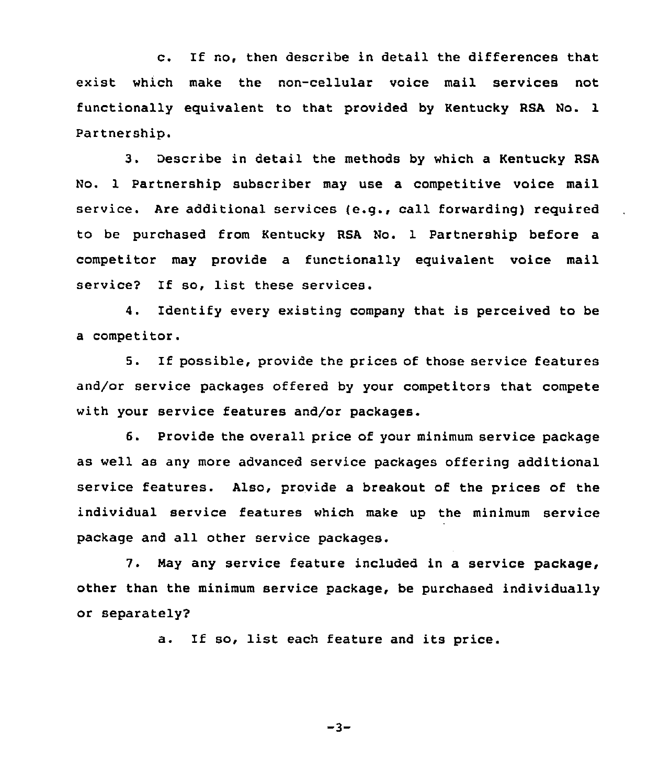c. If no, then describe in detail the differences that exist which make the non-cellular voice mail services not functionally equivalent to that provided by Kentucky RSA No. 1 Partnership.

3. Describe in detail the methods by which a Kentucky RSA No. 1 Partnership subscriber may use a competitive voice mail service. Are additional services (e.g., call forwarding) required to be purchased from Kentucky RSA No. 1 Partnership before a competitor may provide a functionally equivalent voice mail service? If so, list these services.

4. Identify every existing company that is perceived to be a competitor.

5. If possible, provide the prices of those service features and/or service packages offered by your competitors that compete with your service features and/or packages.

6. Provide the overall price of your minimum service package as well as any more advanced service packages offering additional service features. Also, provide a breakout of the prices of the individual service features which make up the minimum service package and all other service packages.

7. Nay any service feature included in a service package, other than the minimum service package, be purchased individually or separately?

a. If so, list each feature and its price.

 $-3-$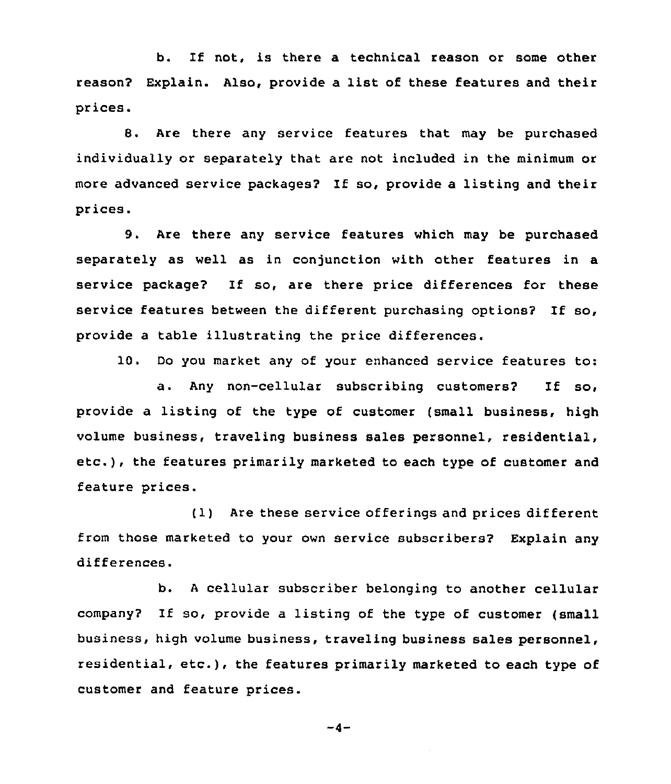b. If not, is there a technical reason or some other reason? Explain. Also, provide a list of these features and their prices.

8. Are there any service features that may be purchased individually or separately that are not included in the minimum or more advanced service packages? If so, provide a listing and their prices.

9. Are there any service features which may be purchased separately as well as in conjunction with other features in a service package? If so, are there price differences for these service features between the different purchasing options? If so, provide a table illustrating the price differences.

10. Do you market any of your enhanced service features to:

a. Any non-cellular subscribing customers? If so, provide a listing of the type of customer (small business, high volume business, traveling business sales personnel, residential, etc.), the features primarily marketed to each type of customer and feature prices.

(1) Are these service offerings and prices different from those marketed to your own service subscribers? Explain any differences.

b. <sup>A</sup> cellular subscriber belonging to another cellular company? If so, provide <sup>a</sup> listing of the type of customer (small business, high volume business, traveling business sales personnel, residential, etc.), the features primarily marketed to each type of customer and feature prices.

$$
\cdots q \cdots
$$